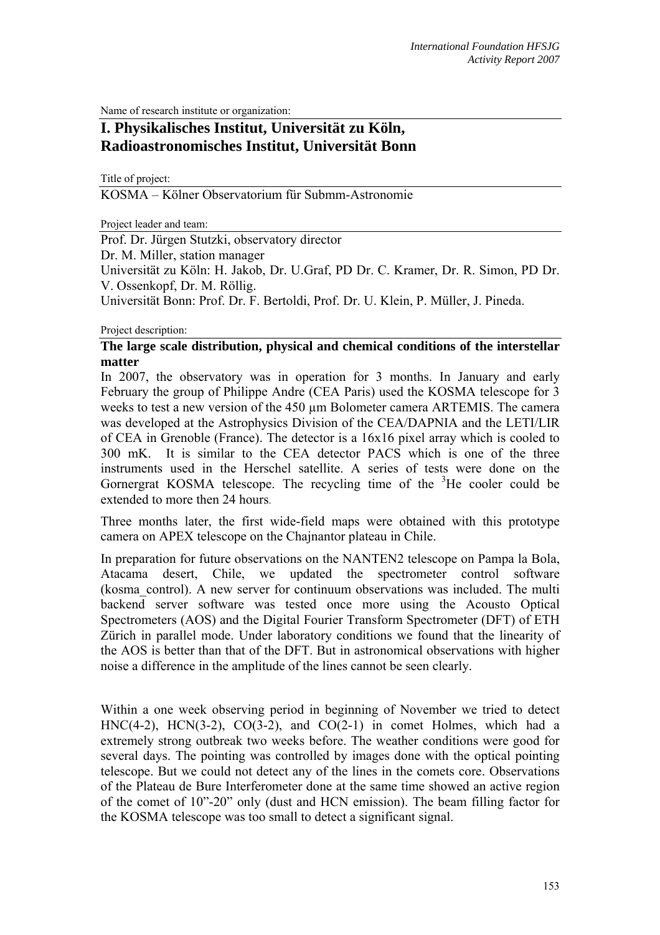Name of research institute or organization:

# **I. Physikalisches Institut, Universität zu Köln, Radioastronomisches Institut, Universität Bonn**

Title of project:

KOSMA – Kölner Observatorium für Submm-Astronomie

Project leader and team:

Prof. Dr. Jürgen Stutzki, observatory director

Dr. M. Miller, station manager

Universität zu Köln: H. Jakob, Dr. U.Graf, PD Dr. C. Kramer, Dr. R. Simon, PD Dr. V. Ossenkopf, Dr. M. Röllig.

Universität Bonn: Prof. Dr. F. Bertoldi, Prof. Dr. U. Klein, P. Müller, J. Pineda.

#### Project description:

### **The large scale distribution, physical and chemical conditions of the interstellar matter**

In 2007, the observatory was in operation for 3 months. In January and early February the group of Philippe Andre (CEA Paris) used the KOSMA telescope for 3 weeks to test a new version of the 450 µm Bolometer camera ARTEMIS. The camera was developed at the Astrophysics Division of the CEA/DAPNIA and the LETI/LIR of CEA in Grenoble (France). The detector is a 16x16 pixel array which is cooled to 300 mK. It is similar to the CEA detector PACS which is one of the three instruments used in the Herschel satellite. A series of tests were done on the Gornergrat KOSMA telescope. The recycling time of the  ${}^{3}$ He cooler could be extended to more then 24 hours.

Three months later, the first wide-field maps were obtained with this prototype camera on APEX telescope on the Chajnantor plateau in Chile.

In preparation for future observations on the NANTEN2 telescope on Pampa la Bola, Atacama desert, Chile, we updated the spectrometer control software (kosma\_control). A new server for continuum observations was included. The multi backend server software was tested once more using the Acousto Optical Spectrometers (AOS) and the Digital Fourier Transform Spectrometer (DFT) of ETH Zürich in parallel mode. Under laboratory conditions we found that the linearity of the AOS is better than that of the DFT. But in astronomical observations with higher noise a difference in the amplitude of the lines cannot be seen clearly.

Within a one week observing period in beginning of November we tried to detect HNC(4-2), HCN(3-2), CO(3-2), and CO(2-1) in comet Holmes, which had a extremely strong outbreak two weeks before. The weather conditions were good for several days. The pointing was controlled by images done with the optical pointing telescope. But we could not detect any of the lines in the comets core. Observations of the Plateau de Bure Interferometer done at the same time showed an active region of the comet of 10"-20" only (dust and HCN emission). The beam filling factor for the KOSMA telescope was too small to detect a significant signal.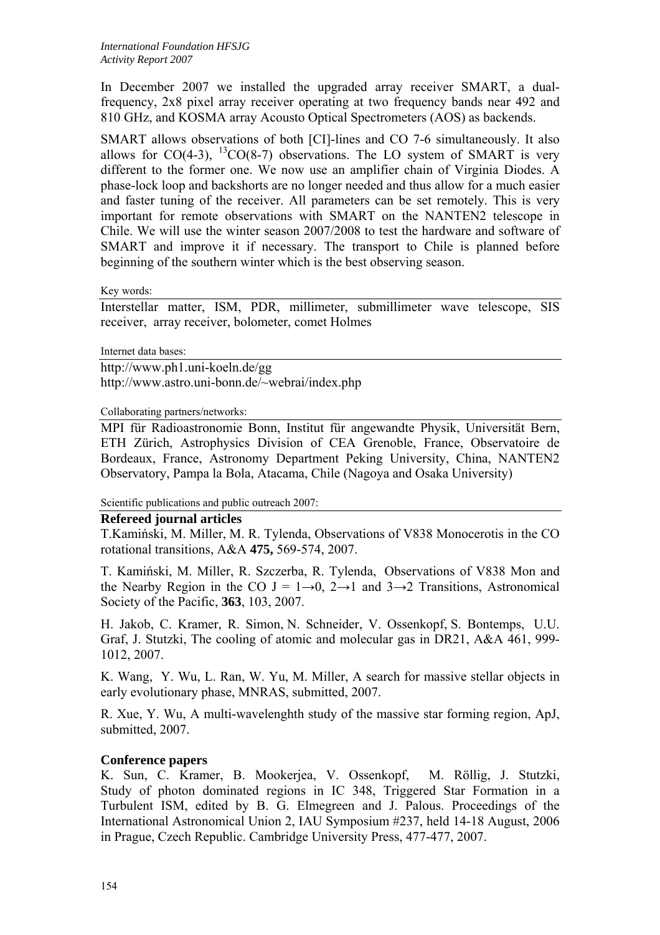In December 2007 we installed the upgraded array receiver SMART, a dualfrequency, 2x8 pixel array receiver operating at two frequency bands near 492 and 810 GHz, and KOSMA array Acousto Optical Spectrometers (AOS) as backends.

SMART allows observations of both [CI]-lines and CO 7-6 simultaneously. It also allows for  $CO(4-3)$ ,  ${}^{13}CO(8-7)$  observations. The LO system of SMART is very different to the former one. We now use an amplifier chain of Virginia Diodes. A phase-lock loop and backshorts are no longer needed and thus allow for a much easier and faster tuning of the receiver. All parameters can be set remotely. This is very important for remote observations with SMART on the NANTEN2 telescope in Chile. We will use the winter season 2007/2008 to test the hardware and software of SMART and improve it if necessary. The transport to Chile is planned before beginning of the southern winter which is the best observing season.

Key words:

Interstellar matter, ISM, PDR, millimeter, submillimeter wave telescope, SIS receiver, array receiver, bolometer, comet Holmes

Internet data bases:

http://www.ph1.uni-koeln.de/gg http://www.astro.uni-bonn.de/~webrai/index.php

Collaborating partners/networks:

MPI für Radioastronomie Bonn, Institut für angewandte Physik, Universität Bern, ETH Zürich, Astrophysics Division of CEA Grenoble, France, Observatoire de Bordeaux, France, Astronomy Department Peking University, China, NANTEN2 Observatory, Pampa la Bola, Atacama, Chile (Nagoya and Osaka University)

Scientific publications and public outreach 2007:

#### **Refereed journal articles**

T.Kamiński, M. Miller, M. R. Tylenda, Observations of V838 Monocerotis in the CO rotational transitions, A&A **475,** 569-574, 2007.

T. Kamiński, M. Miller, R. Szczerba, R. Tylenda, Observations of V838 Mon and the Nearby Region in the CO J =  $1\rightarrow 0$ ,  $2\rightarrow 1$  and  $3\rightarrow 2$  Transitions, Astronomical Society of the Pacific, **363**, 103, 2007.

H. Jakob, C. Kramer, R. Simon, N. Schneider, V. Ossenkopf, S. Bontemps, U.U. Graf, J. Stutzki, The cooling of atomic and molecular gas in DR21, A&A 461, 999- 1012, 2007.

K. Wang, Y. Wu, L. Ran, W. Yu, M. Miller, A search for massive stellar objects in early evolutionary phase, MNRAS, submitted, 2007.

R. Xue, Y. Wu, A multi-wavelenghth study of the massive star forming region, ApJ, submitted, 2007.

## **Conference papers**

K. Sun, C. Kramer, B. Mookerjea, V. Ossenkopf, M. Röllig, J. Stutzki, Study of photon dominated regions in IC 348, Triggered Star Formation in a Turbulent ISM, edited by B. G. Elmegreen and J. Palous. Proceedings of the International Astronomical Union 2, IAU Symposium #237, held 14-18 August, 2006 in Prague, Czech Republic. Cambridge University Press, 477-477, 2007.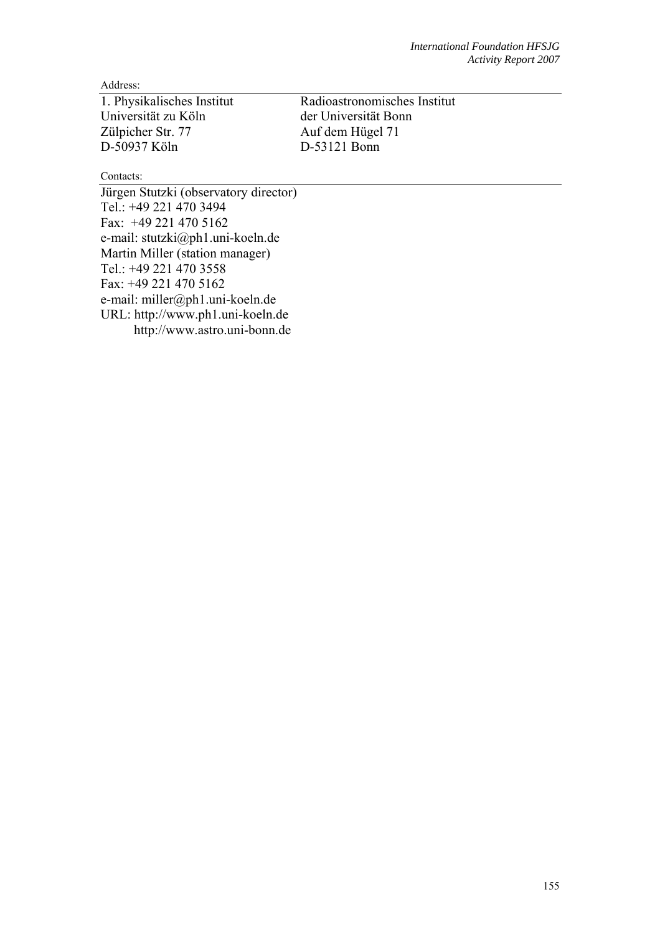Address:

1. Physikalisches Institut Radioastronomisches Institut Universität zu Köln der Universität Bonn<br>Zülpicher Str. 77 Auf dem Hügel 71 D-50937 Köln D-53121 Bonn

Auf dem Hügel 71

Contacts:

Jürgen Stutzki (observatory director) Tel.: +49 221 470 3494 Fax: +49 221 470 5162 e-mail: stutzki@ph1.uni-koeln.de Martin Miller (station manager) Tel.: +49 221 470 3558 Fax: +49 221 470 5162 e-mail: miller@ph1.uni-koeln.de URL: http://www.ph1.uni-koeln.de http://www.astro.uni-bonn.de